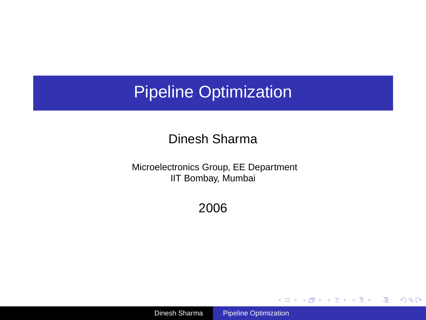### Pipeline Optimization

#### Dinesh Sharma

Microelectronics Group, EE Department IIT Bombay, Mumbai

2006

Dinesh Sharma [Pipeline Optimization](#page-45-0)

<span id="page-0-0"></span>イロトメ 御 トメ 重 トメ 重 トー

 $\equiv$  990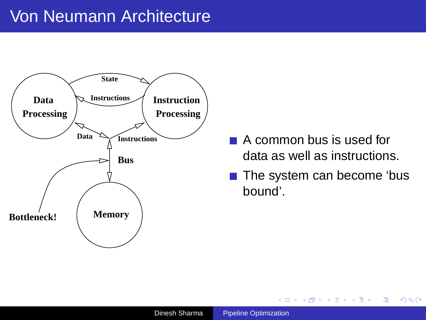

- A common bus is used for data as well as instructions.
- The system can become 'bus bound'.

**K ロ ト K 何 ト K ヨ ト K ヨ ト** 

 $\Rightarrow$  $QQ$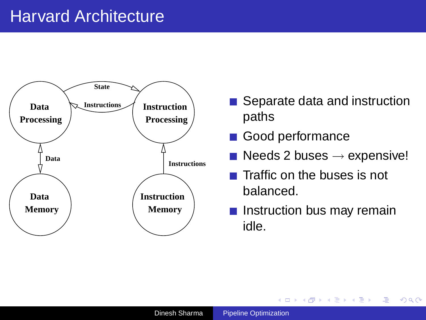### Harvard Architecture



- Separate data and instruction paths
- Good performance  $\sim$
- Needs 2 buses  $\rightarrow$  expensive!
- $\blacksquare$  Traffic on the buses is not balanced.
- Instruction bus may remain idle.

 $\exists$  (E) (F) (F) (D)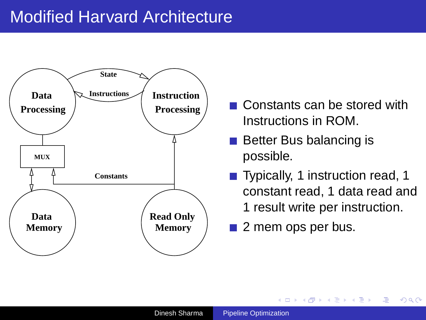

- Constants can be stored with Instructions in ROM.
- $\blacksquare$  Better Bus balancing is possible.
- Typically, 1 instruction read, 1 constant read, 1 data read and 1 result write per instruction.

イロトメ 御 トメ 急 トメ 急 トー 急く

 $2Q$ 

2 mem ops per bus.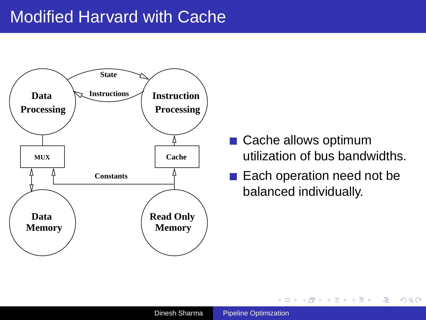

- Cache allows optimum utilization of bus bandwidths.
- Each operation need not be balanced individually.

4 ロ ) 4 何 ) 4 ヨ ) 4 ヨ )

 $\Rightarrow$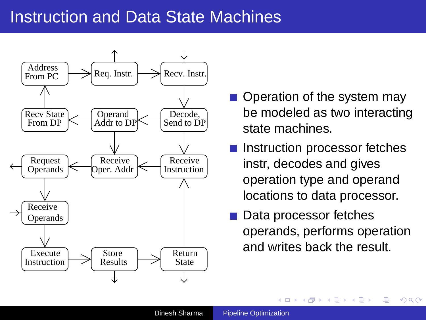### Instruction and Data State Machines



- Operation of the system may be modeled as two interacting state machines.
- Instruction processor fetches instr, decodes and gives operation type and operand locations to data processor.
- Data processor fetches operands, performs operation and writes back the result.

 $\left\{ \begin{array}{ccc} 1 & 0 & 0 \\ 0 & 1 & 0 \end{array} \right.$ 

Ξ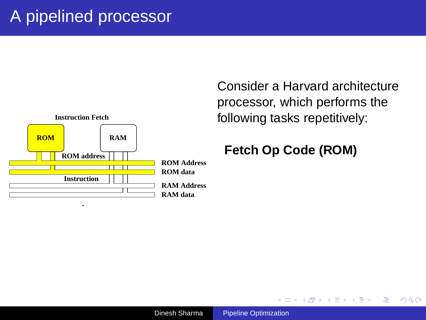

 $\left\{ \begin{array}{ccc} 1 & 0 & 0 \\ 0 & 1 & 0 \end{array} \right.$ 

画

 $2Q$ 

#### **Fetch Op Code (ROM)**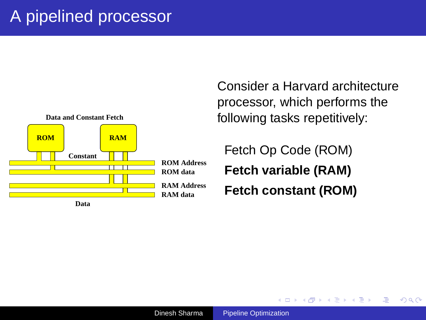

**K ロ ▶ K 何 ▶ K ヨ ▶ K ヨ** 

Φ

 $2Q$ 

Fetch Op Code (ROM) **Fetch variable (RAM) Fetch constant (ROM)**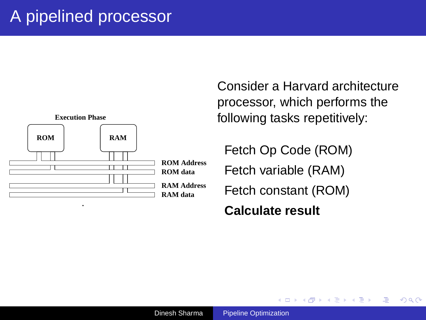

**K ロ ▶ K 何 ▶ K ヨ ▶ K ヨ** 

 $2990$ 

Φ

Fetch Op Code (ROM) Fetch variable (RAM) Fetch constant (ROM) **Calculate result**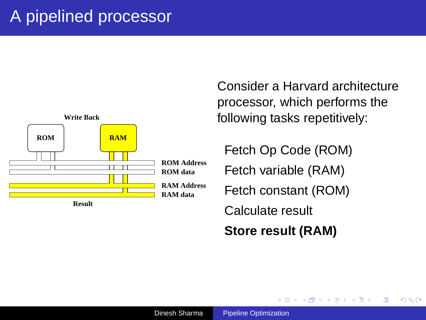

 $\left\{ \begin{array}{ccc} \square & \rightarrow & \left\langle \bigoplus \right. \right. & \rightarrow & \left\langle \biguplus \right. \right. & \rightarrow & \left\langle \biguplus \right. \right. \end{array}$ 

 $2990$ 

Φ

Fetch Op Code (ROM) Fetch variable (RAM) Fetch constant (ROM) Calculate result **Store result (RAM)**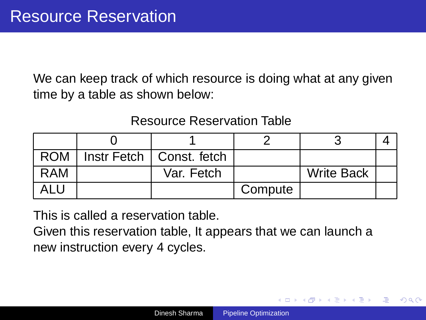We can keep track of which resource is doing what at any given time by a table as shown below:

#### Resource Reservation Table

| <b>ROM</b> | Instr Fetch   Const. fetch |         |                   |  |
|------------|----------------------------|---------|-------------------|--|
| RAM        | Var. Fetch                 |         | <b>Write Back</b> |  |
|            |                            | Compute |                   |  |

This is called a reservation table.

Given this reservation table, It appears that we can launch a new instruction every 4 cycles.

イロト イ押 トイヨ トイヨト

Φ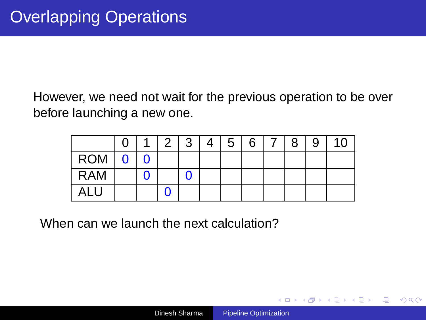However, we need not wait for the previous operation to be over before launching a new one.

|            |  | $\mathbf{2}^{\prime}$ | 3 | 4 | 5 | 6 | 7 | 8 | 9 |  |
|------------|--|-----------------------|---|---|---|---|---|---|---|--|
| <b>ROM</b> |  |                       |   |   |   |   |   |   |   |  |
| <b>RAM</b> |  |                       |   |   |   |   |   |   |   |  |
| ALL        |  |                       |   |   |   |   |   |   |   |  |

When can we launch the next calculation?

イロト イ押 トイヨ トイヨト

 $\equiv$   $\Omega$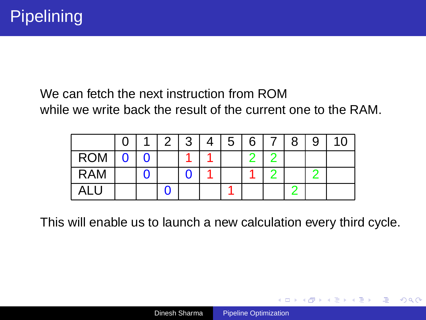#### We can fetch the next instruction from ROM while we write back the result of the current one to the RAM.

|            |  | 2 | Δ | 5 | 6 | 8 | 9 |  |
|------------|--|---|---|---|---|---|---|--|
| <b>ROM</b> |  |   |   |   | ┍ |   |   |  |
| <b>RAM</b> |  |   |   |   |   |   |   |  |
| ALU        |  |   |   |   |   |   |   |  |

This will enable us to launch a new calculation every third cycle.

イロト イ押 トイヨ トイヨト

 $\mathbb{B}$   $\Omega$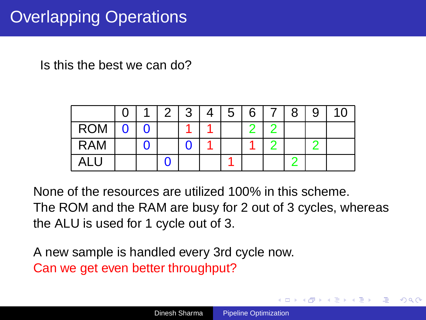# Overlapping Operations

Is this the best we can do?

|            |  | 3 | 5 | 6 | 8 | 9 |  |
|------------|--|---|---|---|---|---|--|
| <b>ROM</b> |  |   |   |   |   |   |  |
| <b>RAM</b> |  |   |   |   |   |   |  |
|            |  |   |   |   |   |   |  |

None of the resources are utilized 100% in this scheme. The ROM and the RAM are busy for 2 out of 3 cycles, whereas the ALU is used for 1 cycle out of 3.

A new sample is handled every 3rd cycle now. Can we get even better throughput?

 $2Q$ 

∍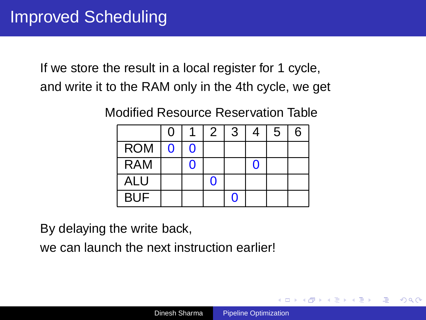If we store the result in a local register for 1 cycle, and write it to the RAM only in the 4th cycle, we get

Modified Resource Reservation Table

|            | $\Omega$ |   | 2 | 3                 | 4 | 5 | 6 |
|------------|----------|---|---|-------------------|---|---|---|
| <b>ROM</b> | $\Omega$ | ŋ |   |                   |   |   |   |
| <b>RAM</b> |          | 0 |   |                   | 0 |   |   |
| <b>ALU</b> |          |   | n |                   |   |   |   |
| <b>BUF</b> |          |   |   | $\mathbf{\Omega}$ |   |   |   |

By delaying the write back,

we can launch the next instruction earlier!

 $\langle \vert \bar{f} \vert \vert \rangle$   $\langle \vert \bar{f} \vert \rangle$   $\langle \vert \bar{f} \vert \rangle$   $\langle \vert \bar{f} \vert \rangle$ 

画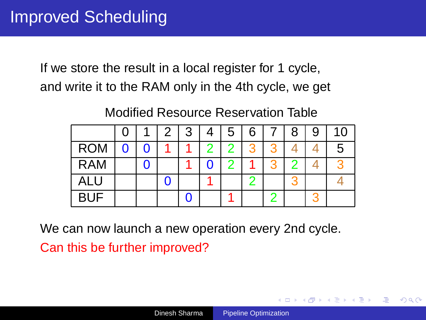If we store the result in a local register for 1 cycle, and write it to the RAM only in the 4th cycle, we get

#### Modified Resource Reservation Table

|            |  | 2 | 3 | 4 | 5 | 6 | 8 | 9 | 10 |
|------------|--|---|---|---|---|---|---|---|----|
| <b>ROM</b> |  |   |   | າ | 2 | ว |   |   | 5  |
| <b>RAM</b> |  |   |   |   |   |   |   |   |    |
| ALU        |  |   |   |   |   |   |   |   |    |
| <b>BUF</b> |  |   |   |   |   |   |   |   |    |

We can now launch a new operation every 2nd cycle.

Can this be further improved?

 $\langle \vert \bar{f} \vert \vert \rangle$   $\langle \vert \bar{f} \vert \rangle$   $\langle \vert \bar{f} \vert \rangle$   $\langle \vert \bar{f} \vert \rangle$ 

Φ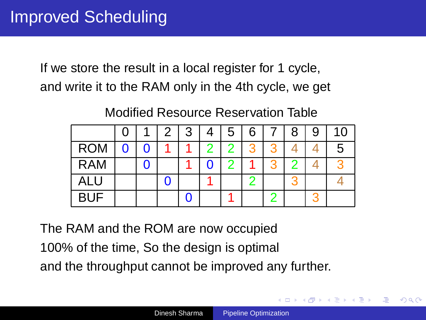If we store the result in a local register for 1 cycle, and write it to the RAM only in the 4th cycle, we get

#### Modified Resource Reservation Table

|            |  | З | 4 | 5 | 6 | 8 | 9 | 10     |
|------------|--|---|---|---|---|---|---|--------|
| <b>ROM</b> |  |   | ◠ |   | વ |   |   | .<br>C |
| <b>RAM</b> |  |   |   |   |   |   |   |        |
| ALU        |  |   |   |   |   |   |   |        |
| <b>BUF</b> |  |   |   |   |   |   |   |        |

The RAM and the ROM are now occupied 100% of the time, So the design is optimal and the throughput cannot be improved any further.

 $4$   $\overline{f}$   $\rightarrow$   $4$   $\overline{z}$   $\rightarrow$   $4$ 

÷,

Φ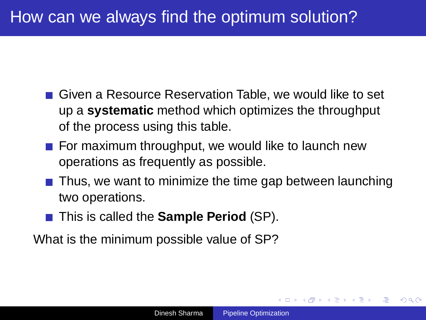# How can we always find the optimum solution?

- Given a Resource Reservation Table, we would like to set up a **systematic** method which optimizes the throughput of the process using this table.
- $\blacksquare$  For maximum throughput, we would like to launch new operations as frequently as possible.
- Thus, we want to minimize the time gap between launching two operations.
- **This is called the Sample Period** (SP).

What is the minimum possible value of SP?

 $\left\{ \begin{array}{ccc} 1 & 0 & 0 \\ 0 & 1 & 0 \end{array} \right.$ 

Φ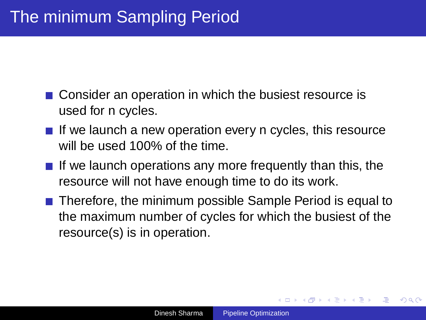- Consider an operation in which the busiest resource is used for n cycles.
- If we launch a new operation every n cycles, this resource will be used 100% of the time.
- $\blacksquare$  If we launch operations any more frequently than this, the resource will not have enough time to do its work.
- Therefore, the minimum possible Sample Period is equal to the maximum number of cycles for which the busiest of the resource(s) is in operation.

 $4$  ロ }  $4$   $\overline{r}$  }  $4$   $\overline{r}$  }  $4$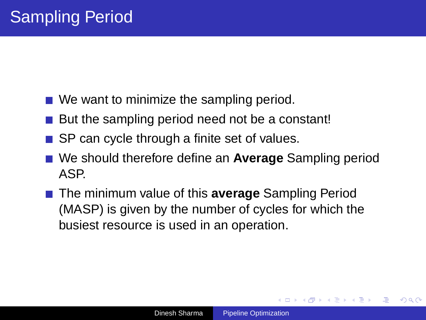- We want to minimize the sampling period.
- But the sampling period need not be a constant!
- $\blacksquare$  SP can cycle through a finite set of values.
- We should therefore define an **Average** Sampling period ASP.
- The minimum value of this **average** Sampling Period (MASP) is given by the number of cycles for which the busiest resource is used in an operation.

<span id="page-19-0"></span>K ロ ▶ K 御 ▶ K 唐 ▶ K 唐 ▶

画

 $\Omega$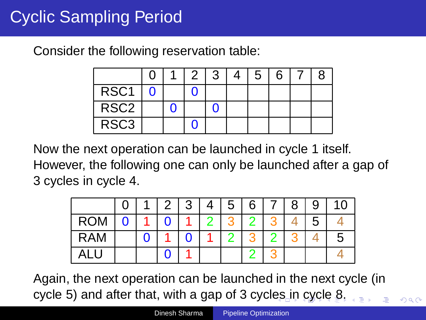# Cyclic Sampling Period

Consider the following reservation table:

|                  |  | 3 | 5 | 6 |  |
|------------------|--|---|---|---|--|
| RSC <sub>1</sub> |  |   |   |   |  |
| RSC <sub>2</sub> |  |   |   |   |  |
| RSC <sub>3</sub> |  |   |   |   |  |

Now the next operation can be launched in cycle 1 itself. However, the following one can only be launched after a gap of 3 cycles in cycle 4.

<span id="page-20-0"></span>

|            |  | 2 | 3 | 4 | 5 | 6 | 8 | 9 | 10 |
|------------|--|---|---|---|---|---|---|---|----|
| <b>ROM</b> |  |   |   |   |   |   |   | 5 |    |
| <b>RAM</b> |  |   |   |   |   |   |   |   | b  |
|            |  |   |   |   |   |   |   |   |    |

Again, the next operation can be launched in the next cycle (in cycle 5) and after that, with a gap of 3 cycl[es](#page-19-0) [in](#page-21-0) [c](#page-19-0)[y](#page-20-0)[cl](#page-21-0)[e](#page-0-0) [8.](#page-45-0)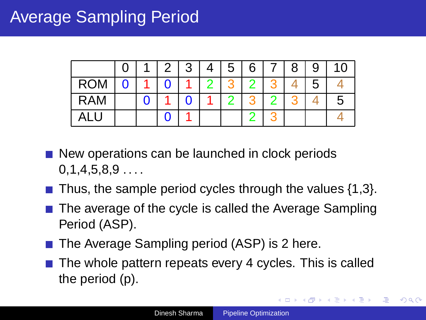# Average Sampling Period

|            |  | 2 | 3 | Δ | $5^{\circ}$ | 6 | 8 | 9 | 10 |
|------------|--|---|---|---|-------------|---|---|---|----|
| <b>ROM</b> |  |   |   |   |             |   |   | b |    |
| <b>RAM</b> |  |   |   |   |             |   |   |   | Ð  |
|            |  |   |   |   |             |   |   |   |    |

- New operations can be launched in clock periods  $0.1.4.5.8.9...$
- $\blacksquare$  Thus, the sample period cycles through the values {1,3}.
- The average of the cycle is called the Average Sampling Period (ASP).
- The Average Sampling period (ASP) is 2 here.
- $\blacksquare$  The whole pattern repeats every 4 cycles. This is called the period (p).

<span id="page-21-0"></span>K □ ▶ K 何 ▶ K 로 ▶ K 로 ▶ - 트 - K 9 Q (연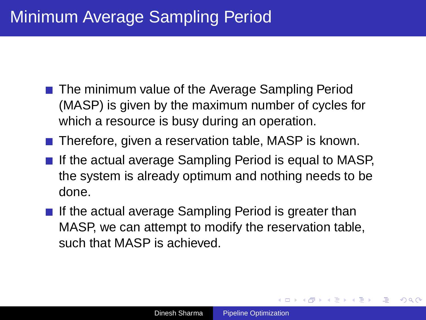## Minimum Average Sampling Period

- The minimum value of the Average Sampling Period (MASP) is given by the maximum number of cycles for which a resource is busy during an operation.
- Therefore, given a reservation table, MASP is known.
- If the actual average Sampling Period is equal to MASP, the system is already optimum and nothing needs to be done.
- If the actual average Sampling Period is greater than MASP, we can attempt to modify the reservation table, such that MASP is achieved.

 $\left\{ \begin{array}{ccc} 1 & 0 & 0 \\ 0 & 1 & 0 \end{array} \right.$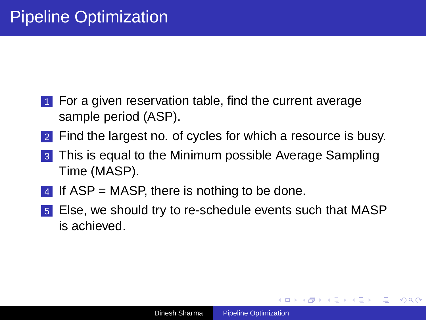- 1 For a given reservation table, find the current average sample period (ASP).
- 2 Find the largest no. of cycles for which a resource is busy.
- 3 This is equal to the Minimum possible Average Sampling Time (MASP).
- 4 If  $ASP = MASP$ , there is nothing to be done.
- 5 Else, we should try to re-schedule events such that MASP is achieved.

イロメ イ部メ イモメ イモメー

(B)  $200$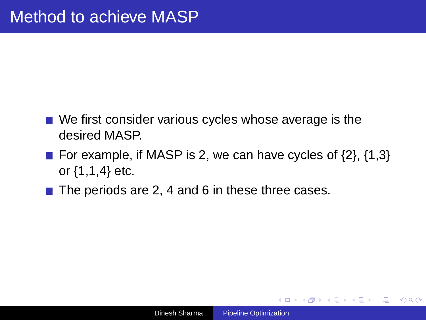- We first consider various cycles whose average is the desired MASP.
- For example, if MASP is 2, we can have cycles of  $\{2\}$ ,  $\{1,3\}$ or {1,1,4} etc.
- $\blacksquare$  The periods are 2, 4 and 6 in these three cases.

 $\langle \vert \bar{f} \vert \vert \rangle$   $\langle \vert \bar{f} \vert \rangle$   $\langle \vert \bar{f} \vert \rangle$   $\langle \vert \bar{f} \vert \rangle$ 

 $\equiv$   $\Omega$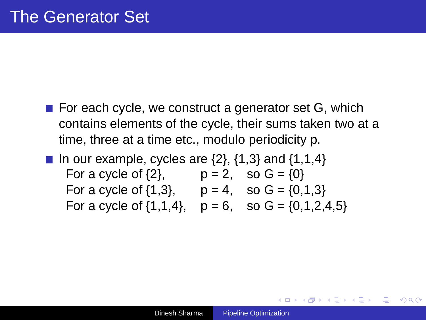- For each cycle, we construct a generator set  $G$ , which contains elements of the cycle, their sums taken two at a time, three at a time etc., modulo periodicity p.
- In our example, cycles are  $\{2\}$ ,  $\{1,3\}$  and  $\{1,1,4\}$ For a cycle of  $\{2\}$ ,  $p = 2$ , so  $G = \{0\}$ For a cycle of  $\{1,3\}$ ,  $p = 4$ , so  $G = \{0,1,3\}$ For a cycle of  $\{1,1,4\}$ ,  $p = 6$ , so  $G = \{0,1,2,4,5\}$

メ押 トメミ トメミ トー

 $\Rightarrow$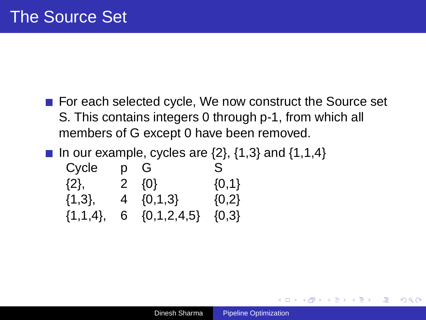- For each selected cycle, We now construct the Source set S. This contains integers 0 through p-1, from which all members of G except 0 have been removed.
- In our example, cycles are  $\{2\}$ ,  $\{1,3\}$  and  $\{1,1,4\}$

| Cycle         | p G               | S.        |
|---------------|-------------------|-----------|
| $\{2\},\$     | $2 \{0\}$         | ${0,1}$   |
| $\{1,3\},\$   | $4 \{0,1,3\}$     | ${0,2}$   |
| $\{1,1,4\},\$ | 6 $\{0,1,2,4,5\}$ | $\{0,3\}$ |

 $\langle \vert \bar{f} \vert \vert \rangle$   $\langle \vert \bar{f} \vert \rangle$   $\langle \vert \bar{f} \vert \rangle$   $\langle \vert \bar{f} \vert \rangle$ 

画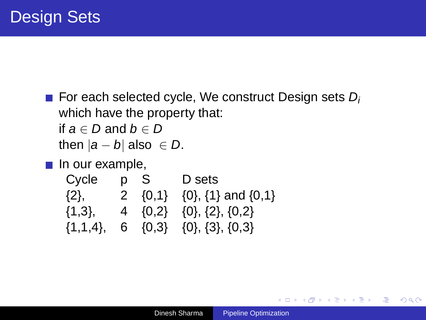For each selected cycle, We construct Design sets  $D_i$ which have the property that: if  $a \in D$  and  $b \in D$ then  $|a - b|$  also  $\in D$ .

 $\blacksquare$  In our example,

| Cycle       | p S | D sets                                                  |
|-------------|-----|---------------------------------------------------------|
| $\{2\},$    |     | 2 $\{0,1\}$ $\{0\}$ , $\{1\}$ and $\{0,1\}$             |
| $\{1,3\}$ , |     | 4 $\{0,2\}$ $\{0\}$ , $\{2\}$ , $\{0,2\}$               |
|             |     | $\{1,1,4\}$ , 6 $\{0,3\}$ $\{0\}$ , $\{3\}$ , $\{0,3\}$ |

(ロ)→(部)→(語)→(語)→(

画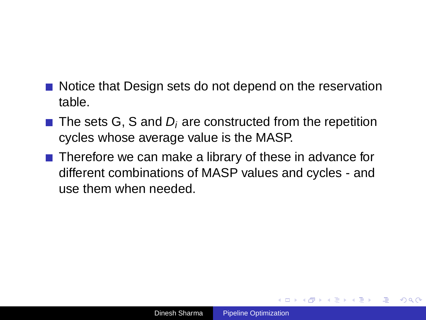- Notice that Design sets do not depend on the reservation table.
- $\blacksquare$  The sets G, S and D<sub>i</sub> are constructed from the repetition cycles whose average value is the MASP.
- Therefore we can make a library of these in advance for different combinations of MASP values and cycles - and use them when needed.

 $\left\{ \begin{array}{ccc} 1 & 0 & 0 \\ 0 & 1 & 0 \end{array} \right.$ 

画

 $\Omega$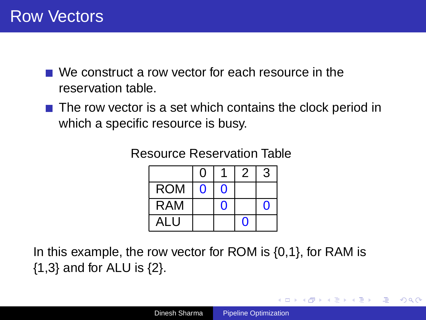- We construct a row vector for each resource in the reservation table.
- $\blacksquare$  The row vector is a set which contains the clock period in which a specific resource is busy.

Resource Reservation Table

|            | 0 |   |   | 3 |
|------------|---|---|---|---|
| <b>ROM</b> | 0 | 0 |   |   |
| <b>RAM</b> |   | O |   | O |
| ALU        |   |   | 0 |   |

In this example, the row vector for ROM is {0,1}, for RAM is {1,3} and for ALU is {2}.

イロト イ押 トイヨ トイヨト

 $\mathbb{B}$   $\Omega$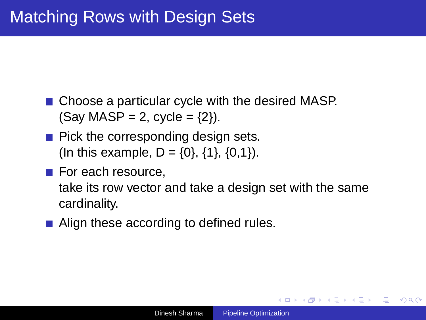- Choose a particular cycle with the desired MASP.  $(Sav MASP = 2, cycle = {2}).$
- $\blacksquare$  Pick the corresponding design sets. (In this example,  $D = \{0\}$ ,  $\{1\}$ ,  $\{0,1\}$ ).
- $\blacksquare$  For each resource,

take its row vector and take a design set with the same cardinality.

■ Align these according to defined rules.

イロト イ押 トイヨ トイヨト

画  $200$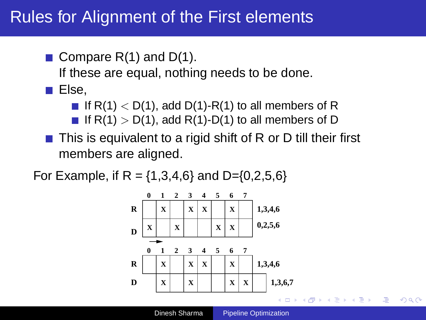### Rules for Alignment of the First elements

**Compare R(1) and D(1).** 

If these are equal, nothing needs to be done.

 $\blacksquare$  Else,

If  $R(1)$  < D(1), add D(1)-R(1) to all members of R

- If  $R(1) > D(1)$ , add  $R(1)-D(1)$  to all members of D
- This is equivalent to a rigid shift of R or D till their first members are aligned.

For Example, if R =  $\{1,3,4,6\}$  and D= $\{0,2,5,6\}$ 



 $\langle \vert \bar{f} \vert \vert \rangle$   $\langle \vert \bar{f} \vert \rangle$   $\langle \vert \bar{f} \vert \rangle$   $\langle \vert \bar{f} \vert \rangle$ 

 $\Rightarrow$ 

 $200$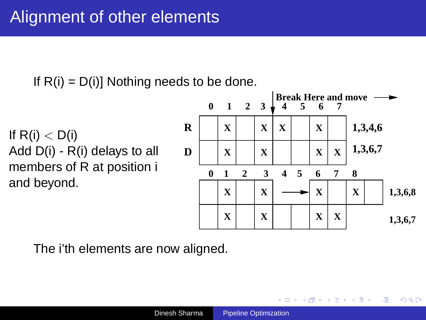If  $R(i) = D(i)$ ] Nothing needs to be done.

If  $R(i) < D(i)$ Add D(i) - R(i) delays to all members of R at position i and beyond.



イロト イ押 トイヨ トイヨト

画

 $2Q$ 

The i'th elements are now aligned.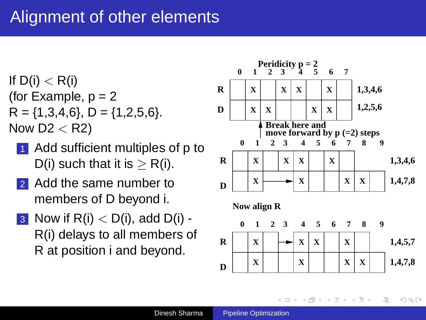## Alignment of other elements

If  $D(i) < R(i)$ (for Example,  $p = 2$  $R = \{1,3,4,6\}$ ,  $D = \{1,2,5,6\}$ . Now  $D2 < R2$ )

- Add sufficient multiples of p to D(i) such that it is  $> R(i)$ .
- Add the same number to members of D beyond i.
- 3 Now if  $R(i) < D(i)$ , add  $D(i)$  -R(i) delays to all members of R at position i and beyond.

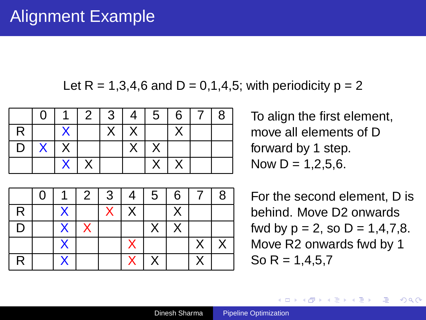Let  $R = 1,3,4,6$  and  $D = 0,1,4,5$ ; with periodicity  $p = 2$ 

|   | 0           |  | 11234456718 |            |  |  |
|---|-------------|--|-------------|------------|--|--|
| R |             |  |             | $X \mid X$ |  |  |
|   | $D$ $X$ $X$ |  |             |            |  |  |
|   |             |  |             |            |  |  |

|   |                         | 2 <sup>1</sup> | 3 I          | 4 <sup>1</sup> | $5^{\circ}$ | 6 | -8 |
|---|-------------------------|----------------|--------------|----------------|-------------|---|----|
| R |                         |                | $\mathsf{X}$ | Χ              |             |   |    |
| D | $\overline{\mathsf{X}}$ |                |              |                |             | Χ |    |
|   |                         |                |              |                |             |   |    |
| R |                         |                |              |                |             |   |    |

To align the first element, move all elements of D forward by 1 step. Now  $D = 1.2.5.6$ .

For the second element, D is behind. Move D2 onwards fwd by  $p = 2$ , so  $D = 1, 4, 7, 8$ . Move R2 onwards fwd by 1 So R =  $1.4.5.7$ 

イロトメ 御 トメ 重 トメ 重 トー

 $\Rightarrow$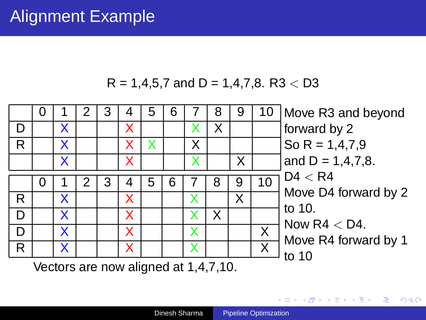## Alignment Example





Vectors are now aligned at 1,4,7,10.

モニ メモンメモンメモン (車)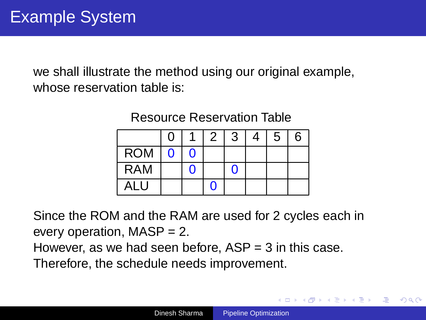we shall illustrate the method using our original example, whose reservation table is:

|            | 0 |   | -2 | 3 | 5 | 6 |
|------------|---|---|----|---|---|---|
| <b>ROM</b> | 0 | n |    |   |   |   |
| <b>RAM</b> |   |   |    |   |   |   |
| ALU        |   |   |    |   |   |   |

Resource Reservation Table

Since the ROM and the RAM are used for 2 cycles each in every operation,  $MASP = 2$ .

However, as we had seen before,  $ASP = 3$  in this case.

Therefore, the schedule needs improvement.

イロト イ押 トイヨ トイヨト

画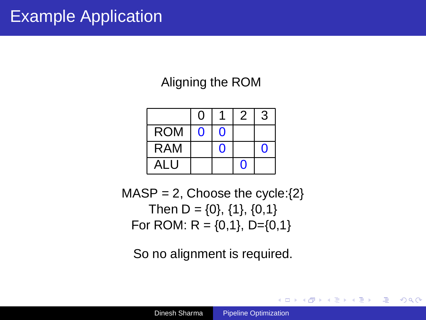## Example Application

Aligning the ROM

|            | 0 |   | 2 | 3 |
|------------|---|---|---|---|
| <b>ROM</b> | O | O |   |   |
| <b>RAM</b> |   | በ |   | C |
| ALU        |   |   | O |   |

 $MASP = 2$ , Choose the cycle: $\{2\}$ Then D =  $\{0\}$ ,  $\{1\}$ ,  $\{0,1\}$ For ROM:  $R = \{0,1\}$ , D= $\{0,1\}$ 

So no alignment is required.

イロト イ押 トイヨ トイヨト

 $\mathbb{B}$   $\Omega$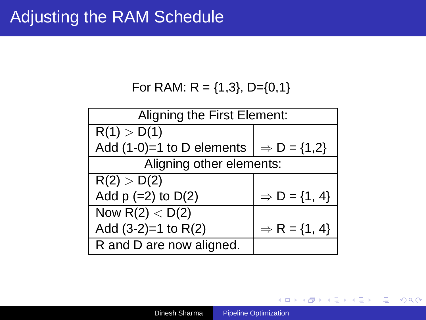For RAM:  $R = \{1,3\}$ , D= $\{0,1\}$ 

|                             | Aligning the First Element: |  |  |  |  |  |  |  |  |
|-----------------------------|-----------------------------|--|--|--|--|--|--|--|--|
| R(1) > D(1)                 |                             |  |  |  |  |  |  |  |  |
| Add $(1-0)=1$ to D elements | $\Rightarrow$ D = {1,2}     |  |  |  |  |  |  |  |  |
| Aligning other elements:    |                             |  |  |  |  |  |  |  |  |
| R(2) > D(2)                 |                             |  |  |  |  |  |  |  |  |
| Add $p (=2)$ to $D(2)$      | $\Rightarrow$ D = {1, 4}    |  |  |  |  |  |  |  |  |
| Now $R(2) < D(2)$           |                             |  |  |  |  |  |  |  |  |
| Add $(3-2)=1$ to R $(2)$    | $\Rightarrow$ R = {1, 4}    |  |  |  |  |  |  |  |  |
| R and D are now aligned.    |                             |  |  |  |  |  |  |  |  |

メロトメ部 トメミトメミト

 $\equiv$  990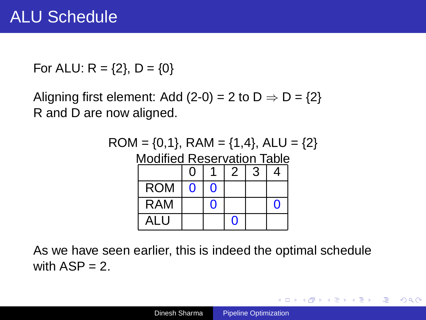For ALU:  $R = \{2\}$ ,  $D = \{0\}$ 

Aligning first element: Add (2-0) = 2 to  $D \Rightarrow D = \{2\}$ R and D are now aligned.



As we have seen earlier, this is indeed the optimal schedule with  $ASP = 2$ .

K □ ▶ K 何 ▶ K 로 ▶ K 로 ▶ - 트 - K 9 Q (연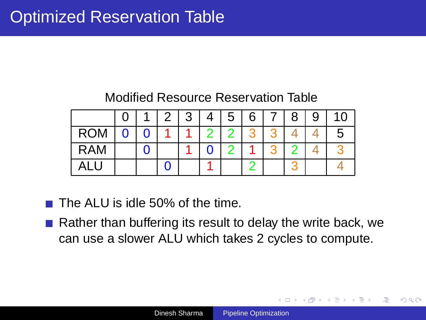#### Modified Resource Reservation Table

|            |  | 3 | Δ | 5 | 6 | 8 | 9 | 10 |
|------------|--|---|---|---|---|---|---|----|
| <b>ROM</b> |  |   | n |   |   |   |   |    |
| <b>RAM</b> |  |   |   |   |   |   |   |    |
|            |  |   |   |   |   |   |   |    |

 $\blacksquare$  The ALU is idle 50% of the time.

Rather than buffering its result to delay the write back, we can use a slower ALU which takes 2 cycles to compute.

 $\langle \vert \bar{f} \vert \vert \rangle$   $\langle \vert \bar{f} \vert \rangle$   $\langle \vert \bar{f} \vert \rangle$   $\langle \vert \bar{f} \vert \rangle$ 

画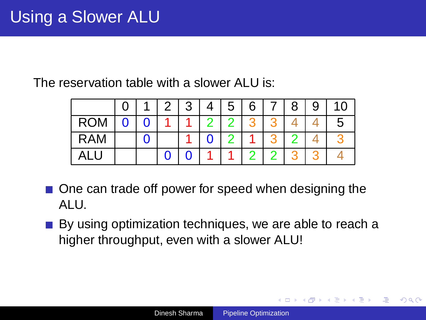The reservation table with a slower ALU is:

|            |  | 3 | 4 | 5 | 6 | 8 | 9 | 10 |
|------------|--|---|---|---|---|---|---|----|
| <b>ROM</b> |  |   |   |   |   |   |   | G  |
| <b>RAM</b> |  |   |   |   |   |   |   |    |
|            |  |   |   |   |   |   |   |    |

- One can trade off power for speed when designing the ALU.
- By using optimization techniques, we are able to reach a higher throughput, even with a slower ALU!

イロト イ押 トイヨ トイヨト

 $\equiv$   $\Omega$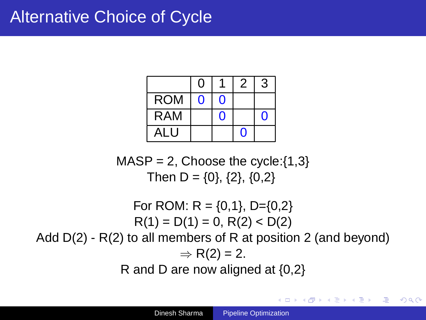|            | O |   |   | 3 |
|------------|---|---|---|---|
| <b>ROM</b> | O | O |   |   |
| <b>RAM</b> |   | O |   |   |
| ALU        |   |   | C |   |

 $MASP = 2$ , Choose the cycle: $\{1,3\}$ Then D =  $\{0\}$ ,  $\{2\}$ ,  $\{0,2\}$ 

For ROM:  $R = \{0,1\}$ , D= $\{0,2\}$  $R(1) = D(1) = 0$ ,  $R(2) < D(2)$ Add D(2) - R(2) to all members of R at position 2 (and beyond)  $\Rightarrow$  R(2) = 2. R and D are now aligned at {0,2}

K □ ▶ K 何 ▶ K 로 ▶ K 로 ▶ - 트 - K 9 Q (연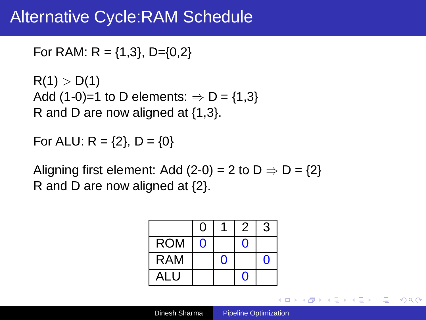### Alternative Cycle:RAM Schedule

```
For RAM: R = \{1,3\}, D=\{0,2\}
```

```
R(1) > D(1)Add (1-0)=1 to D elements: \Rightarrow D = {1,3}
R and D are now aligned at {1,3}.
```

```
For ALU: R = \{2\}, D = \{0\}
```
Aligning first element: Add (2-0) = 2 to  $D \Rightarrow D = \{2\}$ R and D are now aligned at {2}.

|            | 0 |   | 2 | 3 |
|------------|---|---|---|---|
| <b>ROM</b> | O |   | O |   |
| <b>RAM</b> |   | 0 |   | G |
| ALU        |   |   | O |   |

K ロ ▶ K 御 ▶ K 唐 ▶ K 唐 ▶ ...

 $\mathbb{B}$   $\Omega$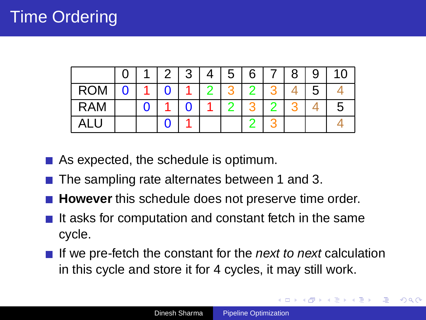|            |  | 3 | Δ | 5 | 6 | 8 | 9 |   |
|------------|--|---|---|---|---|---|---|---|
| <b>ROM</b> |  |   |   |   |   |   | 5 |   |
| <b>RAM</b> |  |   |   |   |   |   |   | О |
|            |  |   |   |   |   |   |   |   |

- As expected, the schedule is optimum.
- The sampling rate alternates between 1 and 3.
- **However** this schedule does not preserve time order.
- $\blacksquare$  It asks for computation and constant fetch in the same cycle.
- If we pre-fetch the constant for the *next to next* calculation in this cycle and store it for 4 cycles, it may still work.

 $\langle \vert \bar{f} \vert \vert \rangle$   $\langle \vert \bar{f} \vert \rangle$   $\langle \vert \bar{f} \vert \rangle$   $\langle \vert \bar{f} \vert \rangle$ 

Φ